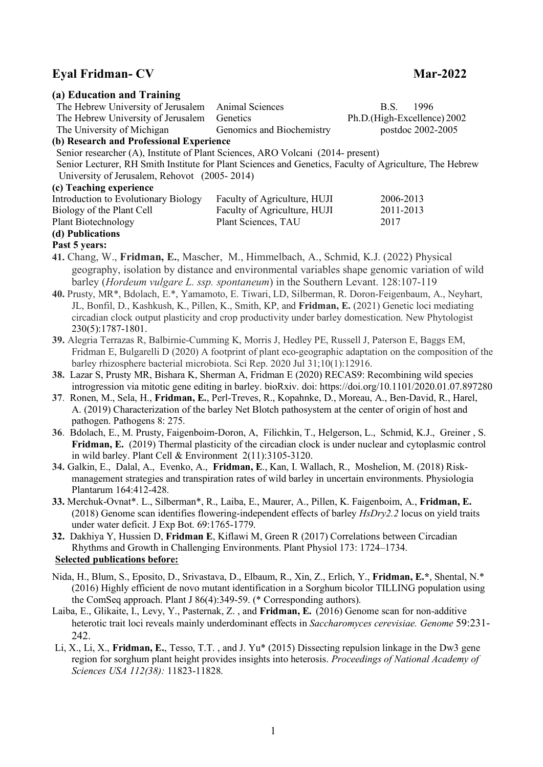## **Eyal Fridman- CV Mar-2022**

| (a) Education and Training                                                                                                                                                                                    |                              |                                                                                                           |  |
|---------------------------------------------------------------------------------------------------------------------------------------------------------------------------------------------------------------|------------------------------|-----------------------------------------------------------------------------------------------------------|--|
| The Hebrew University of Jerusalem                                                                                                                                                                            | Animal Sciences              | 1996<br>B.S.                                                                                              |  |
| The Hebrew University of Jerusalem                                                                                                                                                                            | Genetics                     | Ph.D.(High-Excellence) 2002                                                                               |  |
| The University of Michigan                                                                                                                                                                                    | Genomics and Biochemistry    | postdoc 2002-2005                                                                                         |  |
| (b) Research and Professional Experience<br>Senior researcher (A), Institute of Plant Sciences, ARO Volcani (2014- present)                                                                                   |                              |                                                                                                           |  |
| Senior Lecturer, RH Smith Institute for Plant Sciences and Genetics, Faculty of Agriculture, The Hebrew                                                                                                       |                              |                                                                                                           |  |
| University of Jerusalem, Rehovot (2005-2014)                                                                                                                                                                  |                              |                                                                                                           |  |
| (c) Teaching experience                                                                                                                                                                                       |                              |                                                                                                           |  |
| Introduction to Evolutionary Biology                                                                                                                                                                          | Faculty of Agriculture, HUJI | 2006-2013                                                                                                 |  |
| Biology of the Plant Cell                                                                                                                                                                                     | Faculty of Agriculture, HUJI | 2011-2013                                                                                                 |  |
| <b>Plant Biotechnology</b>                                                                                                                                                                                    | Plant Sciences, TAU          | 2017                                                                                                      |  |
| (d) Publications                                                                                                                                                                                              |                              |                                                                                                           |  |
| Past 5 years:                                                                                                                                                                                                 |                              |                                                                                                           |  |
| 41. Chang, W., Fridman, E., Mascher, M., Himmelbach, A., Schmid, K.J. (2022) Physical                                                                                                                         |                              |                                                                                                           |  |
| geography, isolation by distance and environmental variables shape genomic variation of wild                                                                                                                  |                              |                                                                                                           |  |
| barley (Hordeum vulgare L. ssp. spontaneum) in the Southern Levant. 128:107-119                                                                                                                               |                              |                                                                                                           |  |
| 40. Prusty, MR <sup>*</sup> , Bdolach, E. <sup>*</sup> , Yamamoto, E. Tiwari, LD, Silberman, R. Doron-Feigenbaum, A., Neyhart,                                                                                |                              |                                                                                                           |  |
| JL, Bonfil, D., Kashkush, K., Pillen, K., Smith, KP, and Fridman, E. (2021) Genetic loci mediating                                                                                                            |                              |                                                                                                           |  |
| circadian clock output plasticity and crop productivity under barley domestication. New Phytologist                                                                                                           |                              |                                                                                                           |  |
| 230(5):1787-1801.                                                                                                                                                                                             |                              |                                                                                                           |  |
| 39. Alegria Terrazas R, Balbirnie-Cumming K, Morris J, Hedley PE, Russell J, Paterson E, Baggs EM,                                                                                                            |                              |                                                                                                           |  |
| barley rhizosphere bacterial microbiota. Sci Rep. 2020 Jul 31;10(1):12916.                                                                                                                                    |                              | Fridman E, Bulgarelli D (2020) A footprint of plant eco-geographic adaptation on the composition of the   |  |
| 38. Lazar S, Prusty MR, Bishara K, Sherman A, Fridman E (2020) RECAS9: Recombining wild species                                                                                                               |                              |                                                                                                           |  |
|                                                                                                                                                                                                               |                              | introgression via mitotic gene editing in barley. bioRxiv. doi: https://doi.org/10.1101/2020.01.07.897280 |  |
| 37. Ronen, M., Sela, H., Fridman, E., Perl-Treves, R., Kopahnke, D., Moreau, A., Ben-David, R., Harel,                                                                                                        |                              |                                                                                                           |  |
| A. (2019) Characterization of the barley Net Blotch pathosystem at the center of origin of host and                                                                                                           |                              |                                                                                                           |  |
| pathogen. Pathogens 8: 275.                                                                                                                                                                                   |                              |                                                                                                           |  |
| 36. Bdolach, E., M. Prusty, Faigenboim-Doron, A. Filichkin, T., Helgerson, L., Schmid, K.J., Greiner, S.                                                                                                      |                              |                                                                                                           |  |
|                                                                                                                                                                                                               |                              | Fridman, E. (2019) Thermal plasticity of the circadian clock is under nuclear and cytoplasmic control     |  |
| in wild barley. Plant Cell & Environment $2(11):3105-3120$ .                                                                                                                                                  |                              |                                                                                                           |  |
| 34. Galkin, E., Dalal, A., Evenko, A., Fridman, E., Kan, I. Wallach, R., Moshelion, M. (2018) Risk-                                                                                                           |                              |                                                                                                           |  |
| management strategies and transpiration rates of wild barley in uncertain environments. Physiologia                                                                                                           |                              |                                                                                                           |  |
| Plantarum 164:412-428.                                                                                                                                                                                        |                              |                                                                                                           |  |
| 33. Merchuk-Ovnat*. L., Silberman*, R., Laiba, E., Maurer, A., Pillen, K. Faigenboim, A., Fridman, E.<br>(2018) Genome scan identifies flowering-independent effects of barley HsDry2.2 locus on yield traits |                              |                                                                                                           |  |
| under water deficit. J Exp Bot. 69:1765-1779.                                                                                                                                                                 |                              |                                                                                                           |  |
| 32. Dakhiya Y, Hussien D, Fridman E, Kiflawi M, Green R (2017) Correlations between Circadian                                                                                                                 |                              |                                                                                                           |  |
| Rhythms and Growth in Challenging Environments. Plant Physiol 173: 1724–1734.                                                                                                                                 |                              |                                                                                                           |  |
| <b>Selected publications before:</b>                                                                                                                                                                          |                              |                                                                                                           |  |
|                                                                                                                                                                                                               |                              |                                                                                                           |  |
| Nida, H., Blum, S., Eposito, D., Srivastava, D., Elbaum, R., Xin, Z., Erlich, Y., Fridman, E.*, Shental, N.*                                                                                                  |                              | (2016) Highly efficient de novo mutant identification in a Sorghum bicolor TILLING population using       |  |
| the ComSeq approach. Plant J 86(4):349-59. (* Corresponding authors).                                                                                                                                         |                              |                                                                                                           |  |
| Laiba, E., Glikaite, I., Levy, Y., Pasternak, Z., and Fridman, E. (2016) Genome scan for non-additive                                                                                                         |                              |                                                                                                           |  |
|                                                                                                                                                                                                               |                              | heterotic trait loci reveals mainly underdominant effects in Saccharomyces cerevisiae. Genome 59:231-     |  |
| 242.                                                                                                                                                                                                          |                              |                                                                                                           |  |
| Li, X., Li, X., Fridman, E., Tesso, T.T., and J. Yu* (2015) Dissecting repulsion linkage in the Dw3 gene                                                                                                      |                              |                                                                                                           |  |
| region for sorghum plant height provides insights into heterosis. Proceedings of National Academy of                                                                                                          |                              |                                                                                                           |  |
| Sciences USA 112(38): 11823-11828.                                                                                                                                                                            |                              |                                                                                                           |  |
|                                                                                                                                                                                                               |                              |                                                                                                           |  |
|                                                                                                                                                                                                               |                              |                                                                                                           |  |
|                                                                                                                                                                                                               |                              |                                                                                                           |  |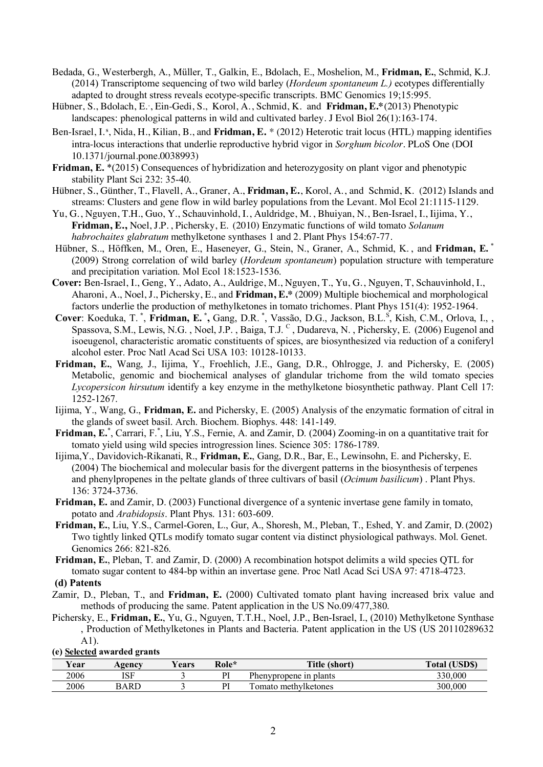- Bedada, G., Westerbergh, A., Müller, T., Galkin, E., Bdolach, E., Moshelion, M., **Fridman, E.**, Schmid, K.J. (2014) Transcriptome sequencing of two wild barley (*Hordeum spontaneum L.)* ecotypes differentially adapted to drought stress reveals ecotype-specific transcripts. BMC Genomics 19;15:995.
- Hübner, S., Bdolach, E.<sup>\*</sup>, Ein-Gedi, S., Korol, A., Schmid, K. and **Fridman, E.\***(2013) Phenotypic landscapes: phenological patterns in wild and cultivated barley. J Evol Biol 26(1):163-174.
- Ben-Israel, I.<sup>s</sup>, Nida, H., Kilian, B., and Fridman, E. \* (2012) Heterotic trait locus (HTL) mapping identifies intra-locus interactions that underlie reproductive hybrid vigor in *Sorghum bicolor*. PLoS One (DOI 10.1371/journal.pone.0038993)
- **Fridman, E.** \*(2015) Consequences of hybridization and heterozygosity on plant vigor and phenotypic stability Plant Sci 232: 35-40.
- Hübner, S., Günther, T., Flavell, A., Graner, A., **Fridman, E.**, Korol, A., and Schmid, K. (2012) Islands and streams: Clusters and gene flow in wild barley populations from the Levant. Mol Ecol 21:1115-1129.
- Yu, G., Nguyen, T.H., Guo, Y., Schauvinhold, I., Auldridge, M. , Bhuiyan, N., Ben-Israel, I., Iijima, Y., **Fridman, E.,** Noel, J.P. , Pichersky, E. (2010) Enzymatic functions of wild tomato *Solanum habrochaites glabratum* methylketone synthases 1 and 2. Plant Phys 154:67-77.
- Hübner, S.., Höffken, M., Oren, E., Haseneyer, G., Stein, N., Graner, A., Schmid, K. , and **Fridman, E.** \* (2009) Strong correlation of wild barley (*Hordeum spontaneum*) population structure with temperature and precipitation variation. Mol Ecol 18:1523-1536.
- **Cover:** Ben-Israel, I., Geng, Y., Adato, A., Auldrige, M., Nguyen, T., Yu, G., Nguyen, T, Schauvinhold, I., Aharoni, A., Noel, J., Pichersky, E., and **Fridman, E.\*** (2009) Multiple biochemical and morphological factors underlie the production of methylketones in tomato trichomes. Plant Phys 151(4): 1952-1964.
- **Cover**: Koeduka, T. **\*** , **Fridman, E. \* ,** Gang, D.R. \* , Vassão, D.G., Jackson, B.L.<sup>S</sup> , Kish, C.M., Orlova, I., , Spassova, S.M., Lewis, N.G. , Noel, J.P. , Baiga, T.J. C , Dudareva, N. , Pichersky, E. (2006) Eugenol and isoeugenol, characteristic aromatic constituents of spices, are biosynthesized via reduction of a coniferyl alcohol ester. Proc Natl Acad Sci USA 103: 10128-10133.
- **Fridman, E.**, Wang, J., Iijima, Y., Froehlich, J.E., Gang, D.R., Ohlrogge, J. and Pichersky, E. (2005) Metabolic, genomic and biochemical analyses of glandular trichome from the wild tomato species *Lycopersicon hirsutum* identify a key enzyme in the methylketone biosynthetic pathway. Plant Cell 17: 1252-1267.
- Iijima, Y., Wang, G., **Fridman, E.** and Pichersky, E. (2005) Analysis of the enzymatic formation of citral in the glands of sweet basil. Arch. Biochem. Biophys. 448: 141-149.
- Fridman, E.<sup>\*</sup>, Carrari, F.<sup>\*</sup>, Liu, Y.S., Fernie, A. and Zamir, D. (2004) Zooming-in on a quantitative trait for tomato yield using wild species introgression lines. Science 305: 1786-1789.
- Iijima,Y., Davidovich-Rikanati, R., **Fridman, E.**, Gang, D.R., Bar, E., Lewinsohn, E. and Pichersky, E. (2004) The biochemical and molecular basis for the divergent patterns in the biosynthesis of terpenes and phenylpropenes in the peltate glands of three cultivars of basil (*Ocimum basilicum*) . Plant Phys. 136: 3724-3736.
- **Fridman, E.** and Zamir, D. (2003) Functional divergence of a syntenic invertase gene family in tomato, potato and *Arabidopsis*. Plant Phys. 131: 603-609.
- **Fridman, E.**, Liu, Y.S., Carmel-Goren, L., Gur, A., Shoresh, M., Pleban, T., Eshed, Y. and Zamir, D.(2002) Two tightly linked QTLs modify tomato sugar content via distinct physiological pathways. Mol. Genet. Genomics 266: 821-826.

**Fridman, E.**, Pleban, T. and Zamir, D. (2000) A recombination hotspot delimits a wild species QTL for tomato sugar content to 484-bp within an invertase gene. Proc Natl Acad Sci USA 97: 4718-4723.

## **(d) Patents**

- Zamir, D., Pleban, T., and **Fridman, E.** (2000) Cultivated tomato plant having increased brix value and methods of producing the same. Patent application in the US No.09/477,380.
- Pichersky, E., **Fridman, E.**, Yu, G., Nguyen, T.T.H., Noel, J.P., Ben-Israel, I., (2010) Methylketone Synthase , Production of Methylketones in Plants and Bacteria. Patent application in the US (US 20110289632 A1).

**(e) Selected awarded grants**

| Year | Agency | ′ears | Role*                    | Title (short)            | Total (USDS) |
|------|--------|-------|--------------------------|--------------------------|--------------|
| 2006 | ISF    |       | $\mathbf{D}^{\intercal}$ | Phenypropene in plants   | 330.000      |
| 2006 | BARD   |       | DI                       | T<br>omato methylketones | 300,000      |